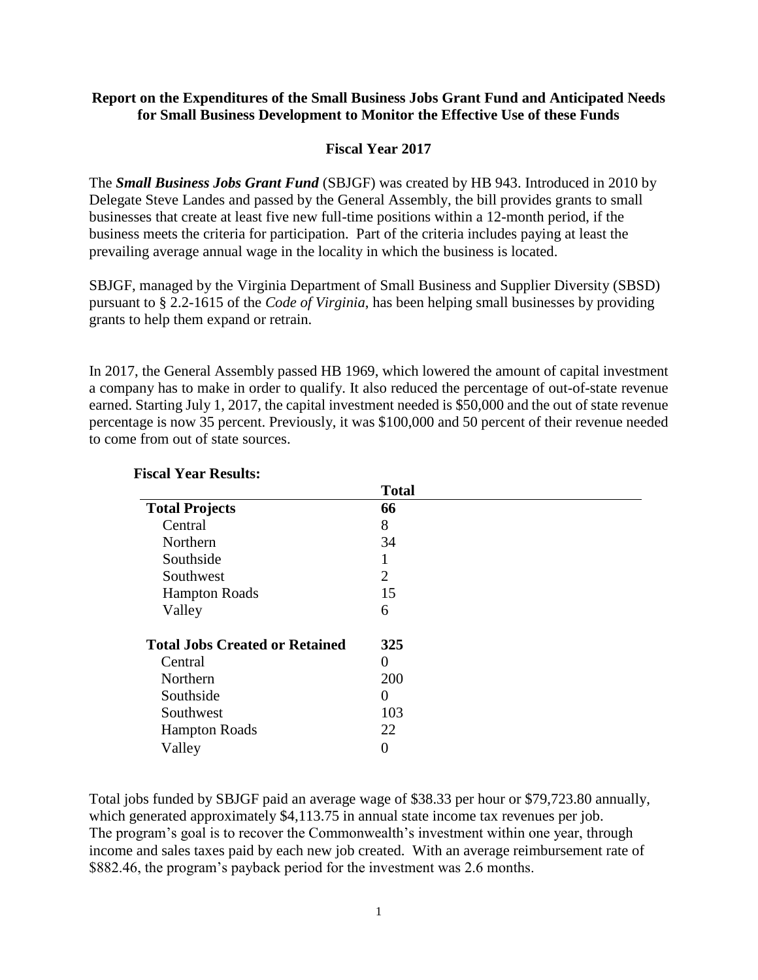### **Report on the Expenditures of the Small Business Jobs Grant Fund and Anticipated Needs for Small Business Development to Monitor the Effective Use of these Funds**

### **Fiscal Year 2017**

The *Small Business Jobs Grant Fund* (SBJGF) was created by HB 943. Introduced in 2010 by Delegate Steve Landes and passed by the General Assembly, the bill provides grants to small businesses that create at least five new full-time positions within a 12-month period, if the business meets the criteria for participation. Part of the criteria includes paying at least the prevailing average annual wage in the locality in which the business is located.

SBJGF, managed by the Virginia Department of Small Business and Supplier Diversity (SBSD) pursuant to § 2.2-1615 of the *Code of Virginia*, has been helping small businesses by providing grants to help them expand or retrain.

In 2017, the General Assembly passed HB 1969, which lowered the amount of capital investment a company has to make in order to qualify. It also reduced the percentage of out-of-state revenue earned. Starting July 1, 2017, the capital investment needed is \$50,000 and the out of state revenue percentage is now 35 percent. Previously, it was \$100,000 and 50 percent of their revenue needed to come from out of state sources.

|                                       | <b>Total</b>   |
|---------------------------------------|----------------|
| <b>Total Projects</b>                 | 66             |
| Central                               | 8              |
| Northern                              | 34             |
| Southside                             |                |
| Southwest                             | $\overline{2}$ |
| <b>Hampton Roads</b>                  | 15             |
| Valley                                | 6              |
| <b>Total Jobs Created or Retained</b> | 325            |
| Central                               | 0              |
| Northern                              | 200            |
| Southside                             | 0              |
| Southwest                             | 103            |
| <b>Hampton Roads</b>                  | 22             |
| Valley                                | 0              |

#### **Fiscal Year Results:**

Total jobs funded by SBJGF paid an average wage of \$38.33 per hour or \$79,723.80 annually, which generated approximately \$4,113.75 in annual state income tax revenues per job. The program's goal is to recover the Commonwealth's investment within one year, through income and sales taxes paid by each new job created. With an average reimbursement rate of \$882.46, the program's payback period for the investment was 2.6 months.